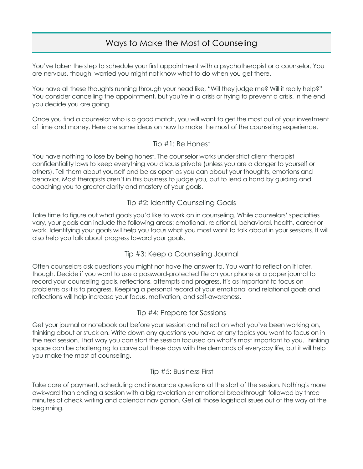# Ways to Make the Most of Counseling

You've taken the step to schedule your first appointment with a psychotherapist or a counselor. You are nervous, though, worried you might not know what to do when you get there.

You have all these thoughts running through your head like, "Will they judge me? Will it really help?" You consider cancelling the appointment, but you're in a crisis or trying to prevent a crisis. In the end you decide you are going.

Once you find a counselor who is a good match, you will want to get the most out of your investment of time and money. Here are some ideas on how to make the most of the counseling experience.

# Tip #1: Be Honest

You have nothing to lose by being honest. The counselor works under strict client-therapist confidentiality laws to keep everything you discuss private (unless you are a danger to yourself or others). Tell them about yourself and be as open as you can about your thoughts, emotions and behavior. Most therapists aren't in this business to judge you, but to lend a hand by guiding and coaching you to greater clarity and mastery of your goals.

# Tip #2: Identify Counseling Goals

Take time to figure out what goals you'd like to work on in counseling. While counselors' specialties vary, your goals can include the following areas: emotional, relational, behavioral, health, career or work. Identifying your goals will help you focus what you most want to talk about in your sessions. It will also help you talk about progress toward your goals.

# Tip #3: Keep a Counseling Journal

Often counselors ask questions you might not have the answer to. You want to reflect on it later, though. Decide if you want to use a password-protected file on your phone or a paper journal to record your counseling goals, reflections, attempts and progress. It's as important to focus on problems as it is to progress. Keeping a personal record of your emotional and relational goals and reflections will help increase your focus, motivation, and self-awareness.

#### Tip #4: Prepare for Sessions

Get your journal or notebook out before your session and reflect on what you've been working on, thinking about or stuck on. Write down any questions you have or any topics you want to focus on in the next session. That way you can start the session focused on what's most important to you. Thinking space can be challenging to carve out these days with the demands of everyday life, but it will help you make the most of counseling.

# Tip #5: Business First

Take care of payment, scheduling and insurance questions at the start of the session. Nothing's more awkward than ending a session with a big revelation or emotional breakthrough followed by three minutes of check writing and calendar navigation. Get all those logistical issues out of the way at the beginning.